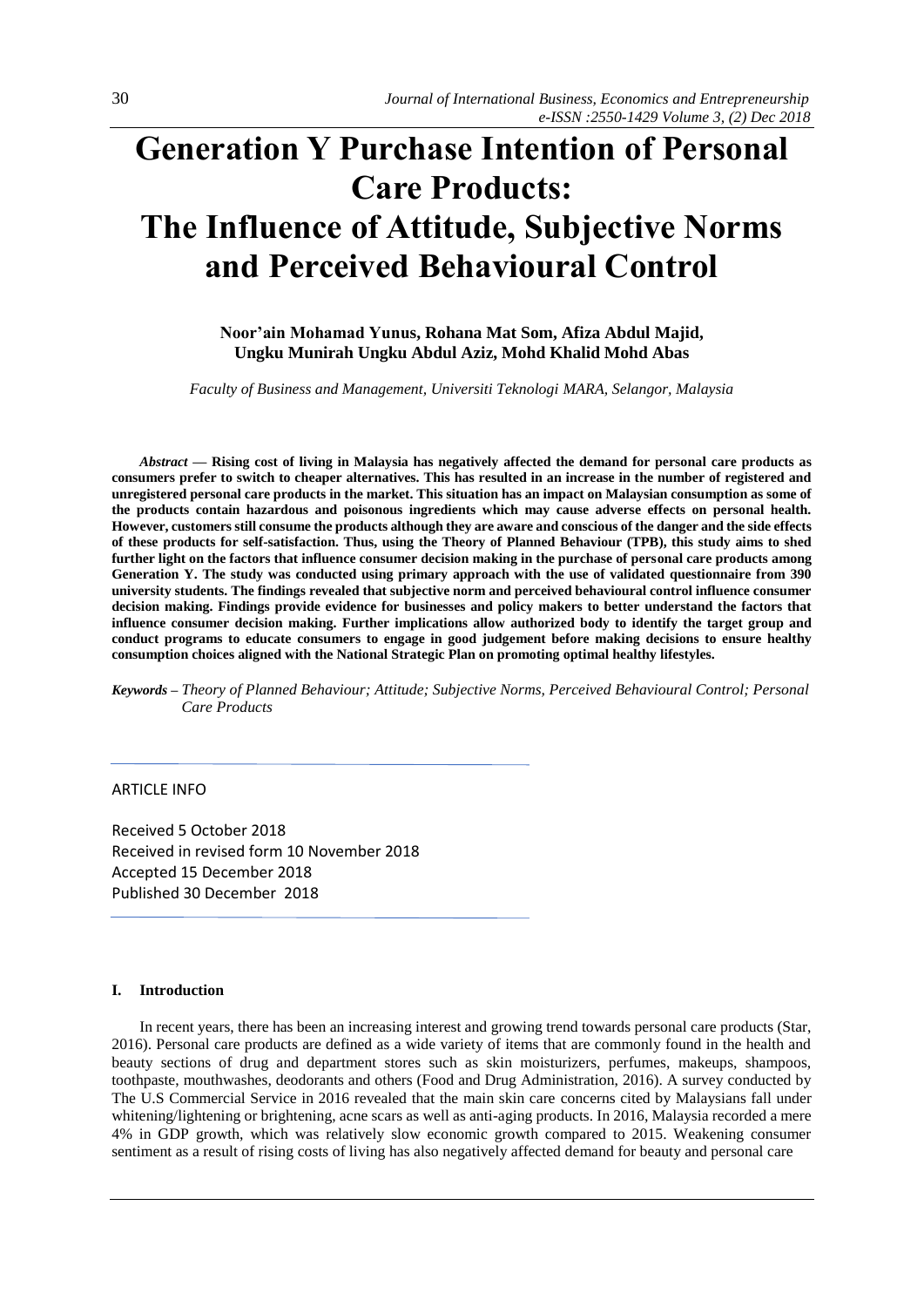# **Generation Y Purchase Intention of Personal Care Products: The Influence of Attitude, Subjective Norms and Perceived Behavioural Control**

**Noor'ain Mohamad Yunus, Rohana Mat Som, Afiza Abdul Majid, Ungku Munirah Ungku Abdul Aziz, Mohd Khalid Mohd Abas**

*Faculty of Business and Management, Universiti Teknologi MARA, Selangor, Malaysia* 

*Abstract —* **Rising cost of living in Malaysia has negatively affected the demand for personal care products as consumers prefer to switch to cheaper alternatives. This has resulted in an increase in the number of registered and unregistered personal care products in the market. This situation has an impact on Malaysian consumption as some of the products contain hazardous and poisonous ingredients which may cause adverse effects on personal health. However, customers still consume the products although they are aware and conscious of the danger and the side effects of these products for self-satisfaction. Thus, using the Theory of Planned Behaviour (TPB), this study aims to shed further light on the factors that influence consumer decision making in the purchase of personal care products among Generation Y. The study was conducted using primary approach with the use of validated questionnaire from 390 university students. The findings revealed that subjective norm and perceived behavioural control influence consumer decision making. Findings provide evidence for businesses and policy makers to better understand the factors that influence consumer decision making. Further implications allow authorized body to identify the target group and conduct programs to educate consumers to engage in good judgement before making decisions to ensure healthy consumption choices aligned with the National Strategic Plan on promoting optimal healthy lifestyles.** 

*Keywords – Theory of Planned Behaviour; Attitude; Subjective Norms, Perceived Behavioural Control; Personal Care Products*

# ARTICLE INFO

Received 5 October 2018 Received in revised form 10 November 2018 Accepted 15 December 2018 Published 30 December 2018

#### **I. Introduction**

In recent years, there has been an increasing interest and growing trend towards personal care products (Star, 2016). Personal care products are defined as a wide variety of items that are commonly found in the health and beauty sections of drug and department stores such as skin moisturizers, perfumes, makeups, shampoos, toothpaste, mouthwashes, deodorants and others (Food and Drug Administration, 2016). A survey conducted by The U.S Commercial Service in 2016 revealed that the main skin care concerns cited by Malaysians fall under whitening/lightening or brightening, acne scars as well as anti-aging products. In 2016, Malaysia recorded a mere 4% in GDP growth, which was relatively slow economic growth compared to 2015. Weakening consumer sentiment as a result of rising costs of living has also negatively affected demand for beauty and personal care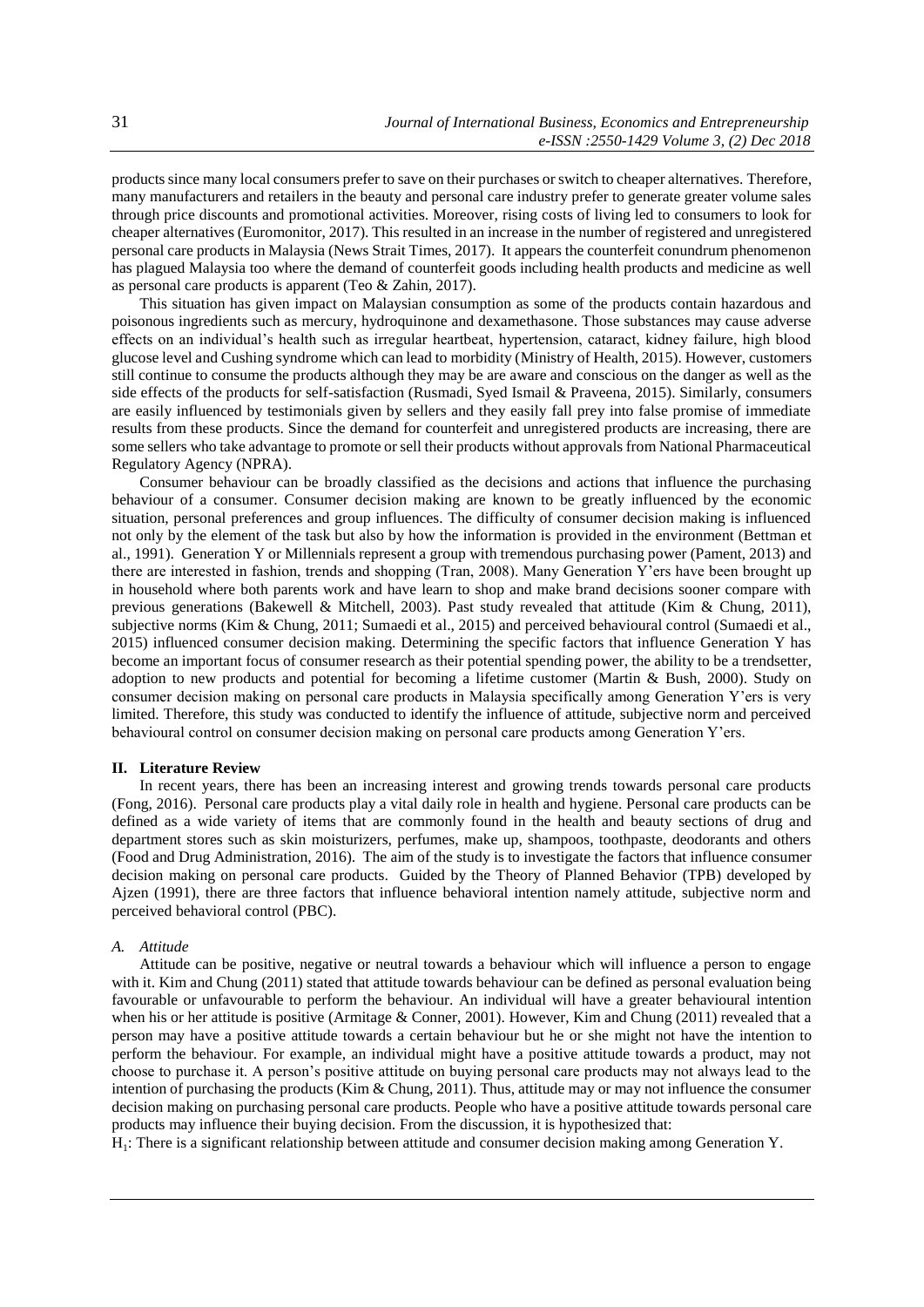products since many local consumers prefer to save on their purchases or switch to cheaper alternatives. Therefore, many manufacturers and retailers in the beauty and personal care industry prefer to generate greater volume sales through price discounts and promotional activities. Moreover, rising costs of living led to consumers to look for cheaper alternatives (Euromonitor, 2017). This resulted in an increase in the number of registered and unregistered personal care products in Malaysia (News Strait Times, 2017). It appears the counterfeit conundrum phenomenon has plagued Malaysia too where the demand of counterfeit goods including health products and medicine as well as personal care products is apparent (Teo & Zahin, 2017).

This situation has given impact on Malaysian consumption as some of the products contain hazardous and poisonous ingredients such as mercury, hydroquinone and dexamethasone. Those substances may cause adverse effects on an individual's health such as irregular heartbeat, hypertension, cataract, kidney failure, high blood glucose level and Cushing syndrome which can lead to morbidity (Ministry of Health, 2015). However, customers still continue to consume the products although they may be are aware and conscious on the danger as well as the side effects of the products for self-satisfaction (Rusmadi, Syed Ismail & Praveena, 2015). Similarly, consumers are easily influenced by testimonials given by sellers and they easily fall prey into false promise of immediate results from these products. Since the demand for counterfeit and unregistered products are increasing, there are some sellers who take advantage to promote or sell their products without approvals from National Pharmaceutical Regulatory Agency (NPRA).

Consumer behaviour can be broadly classified as the decisions and actions that influence the purchasing behaviour of a consumer. Consumer decision making are known to be greatly influenced by the economic situation, personal preferences and group influences. The difficulty of consumer decision making is influenced not only by the element of the task but also by how the information is provided in the environment (Bettman et al., 1991). Generation Y or Millennials represent a group with tremendous purchasing power (Pament, 2013) and there are interested in fashion, trends and shopping (Tran, 2008). Many Generation Y'ers have been brought up in household where both parents work and have learn to shop and make brand decisions sooner compare with previous generations (Bakewell & Mitchell, 2003). Past study revealed that attitude (Kim & Chung, 2011), subjective norms (Kim & Chung, 2011; Sumaedi et al., 2015) and perceived behavioural control (Sumaedi et al., 2015) influenced consumer decision making. Determining the specific factors that influence Generation Y has become an important focus of consumer research as their potential spending power, the ability to be a trendsetter, adoption to new products and potential for becoming a lifetime customer (Martin & Bush, 2000). Study on consumer decision making on personal care products in Malaysia specifically among Generation Y'ers is very limited. Therefore, this study was conducted to identify the influence of attitude, subjective norm and perceived behavioural control on consumer decision making on personal care products among Generation Y'ers.

#### **II. Literature Review**

In recent years, there has been an increasing interest and growing trends towards personal care products (Fong, 2016). Personal care products play a vital daily role in health and hygiene. Personal care products can be defined as a wide variety of items that are commonly found in the health and beauty sections of drug and department stores such as skin moisturizers, perfumes, make up, shampoos, toothpaste, deodorants and others (Food and Drug Administration, 2016). The aim of the study is to investigate the factors that influence consumer decision making on personal care products. Guided by the Theory of Planned Behavior (TPB) developed by Ajzen (1991), there are three factors that influence behavioral intention namely attitude, subjective norm and perceived behavioral control (PBC).

### *A. Attitude*

Attitude can be positive, negative or neutral towards a behaviour which will influence a person to engage with it. Kim and Chung (2011) stated that attitude towards behaviour can be defined as personal evaluation being favourable or unfavourable to perform the behaviour. An individual will have a greater behavioural intention when his or her attitude is positive (Armitage & Conner, 2001). However, Kim and Chung (2011) revealed that a person may have a positive attitude towards a certain behaviour but he or she might not have the intention to perform the behaviour. For example, an individual might have a positive attitude towards a product, may not choose to purchase it. A person's positive attitude on buying personal care products may not always lead to the intention of purchasing the products (Kim & Chung, 2011). Thus, attitude may or may not influence the consumer decision making on purchasing personal care products. People who have a positive attitude towards personal care products may influence their buying decision. From the discussion, it is hypothesized that:

H<sub>1</sub>: There is a significant relationship between attitude and consumer decision making among Generation Y.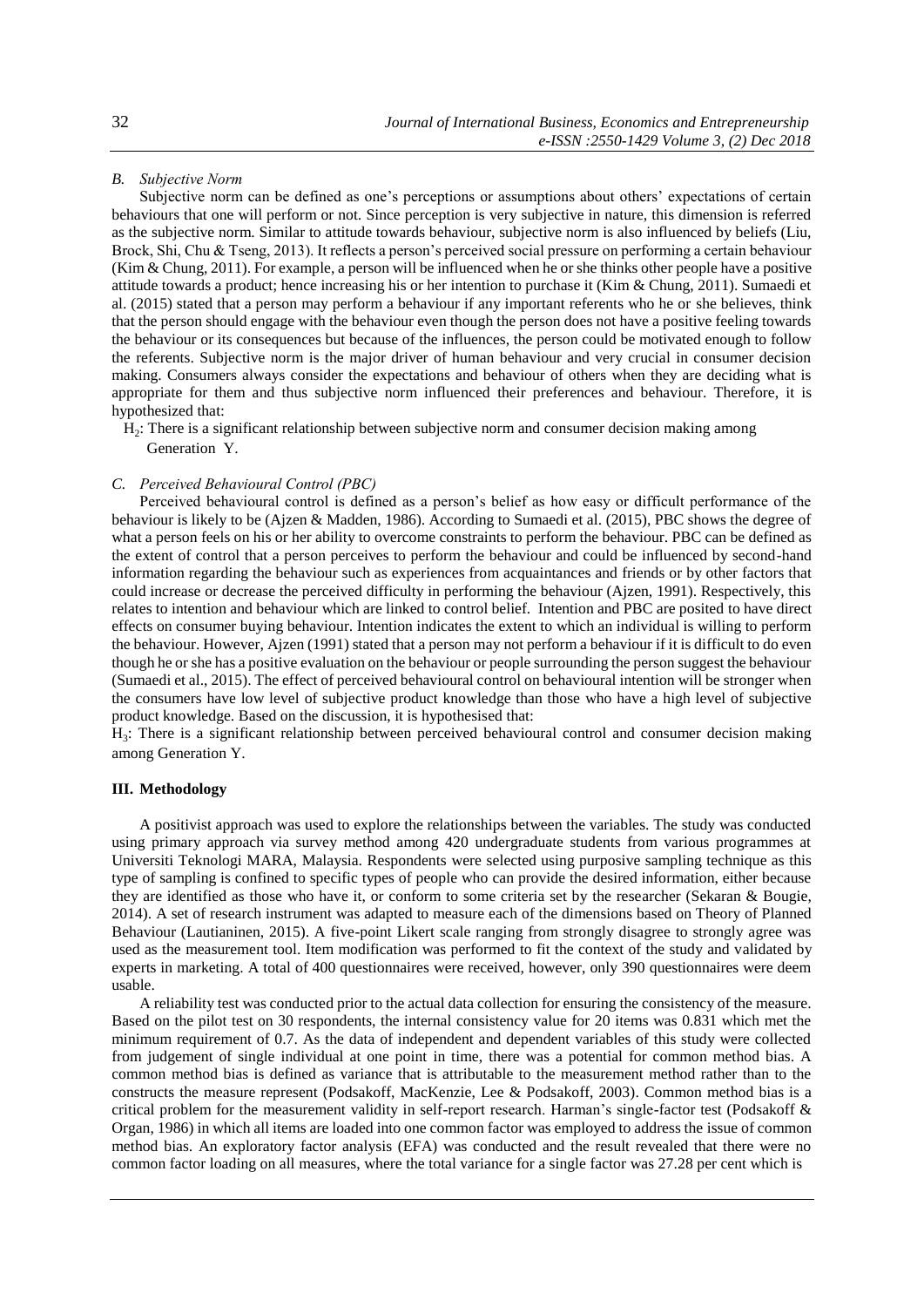# *B. Subjective Norm*

Subjective norm can be defined as one's perceptions or assumptions about others' expectations of certain behaviours that one will perform or not. Since perception is very subjective in nature, this dimension is referred as the subjective norm. Similar to attitude towards behaviour, subjective norm is also influenced by beliefs (Liu, Brock, Shi, Chu & Tseng, 2013). It reflects a person's perceived social pressure on performing a certain behaviour (Kim & Chung, 2011). For example, a person will be influenced when he or she thinks other people have a positive attitude towards a product; hence increasing his or her intention to purchase it (Kim & Chung, 2011). Sumaedi et al. (2015) stated that a person may perform a behaviour if any important referents who he or she believes, think that the person should engage with the behaviour even though the person does not have a positive feeling towards the behaviour or its consequences but because of the influences, the person could be motivated enough to follow the referents. Subjective norm is the major driver of human behaviour and very crucial in consumer decision making. Consumers always consider the expectations and behaviour of others when they are deciding what is appropriate for them and thus subjective norm influenced their preferences and behaviour. Therefore, it is hypothesized that:

 H<sup>2</sup> : There is a significant relationship between subjective norm and consumer decision making among Generation Y.

# *C. Perceived Behavioural Control (PBC)*

Perceived behavioural control is defined as a person's belief as how easy or difficult performance of the behaviour is likely to be (Ajzen & Madden, 1986). According to Sumaedi et al. (2015), PBC shows the degree of what a person feels on his or her ability to overcome constraints to perform the behaviour. PBC can be defined as the extent of control that a person perceives to perform the behaviour and could be influenced by second-hand information regarding the behaviour such as experiences from acquaintances and friends or by other factors that could increase or decrease the perceived difficulty in performing the behaviour (Ajzen, 1991). Respectively, this relates to intention and behaviour which are linked to control belief. Intention and PBC are posited to have direct effects on consumer buying behaviour. Intention indicates the extent to which an individual is willing to perform the behaviour. However, Ajzen (1991) stated that a person may not perform a behaviour if it is difficult to do even though he or she has a positive evaluation on the behaviour or people surrounding the person suggest the behaviour (Sumaedi et al., 2015). The effect of perceived behavioural control on behavioural intention will be stronger when the consumers have low level of subjective product knowledge than those who have a high level of subjective product knowledge. Based on the discussion, it is hypothesised that:

 $H_3$ : There is a significant relationship between perceived behavioural control and consumer decision making among Generation Y.

# **III. Methodology**

A positivist approach was used to explore the relationships between the variables. The study was conducted using primary approach via survey method among 420 undergraduate students from various programmes at Universiti Teknologi MARA, Malaysia. Respondents were selected using purposive sampling technique as this type of sampling is confined to specific types of people who can provide the desired information, either because they are identified as those who have it, or conform to some criteria set by the researcher (Sekaran & Bougie, 2014). A set of research instrument was adapted to measure each of the dimensions based on Theory of Planned Behaviour (Lautianinen, 2015). A five-point Likert scale ranging from strongly disagree to strongly agree was used as the measurement tool. Item modification was performed to fit the context of the study and validated by experts in marketing. A total of 400 questionnaires were received, however, only 390 questionnaires were deem usable.

A reliability test was conducted prior to the actual data collection for ensuring the consistency of the measure. Based on the pilot test on 30 respondents, the internal consistency value for 20 items was 0.831 which met the minimum requirement of 0.7. As the data of independent and dependent variables of this study were collected from judgement of single individual at one point in time, there was a potential for common method bias. A common method bias is defined as variance that is attributable to the measurement method rather than to the constructs the measure represent (Podsakoff, MacKenzie, Lee & Podsakoff, 2003). Common method bias is a critical problem for the measurement validity in self-report research. Harman's single-factor test (Podsakoff & Organ, 1986) in which all items are loaded into one common factor was employed to address the issue of common method bias. An exploratory factor analysis (EFA) was conducted and the result revealed that there were no common factor loading on all measures, where the total variance for a single factor was 27.28 per cent which is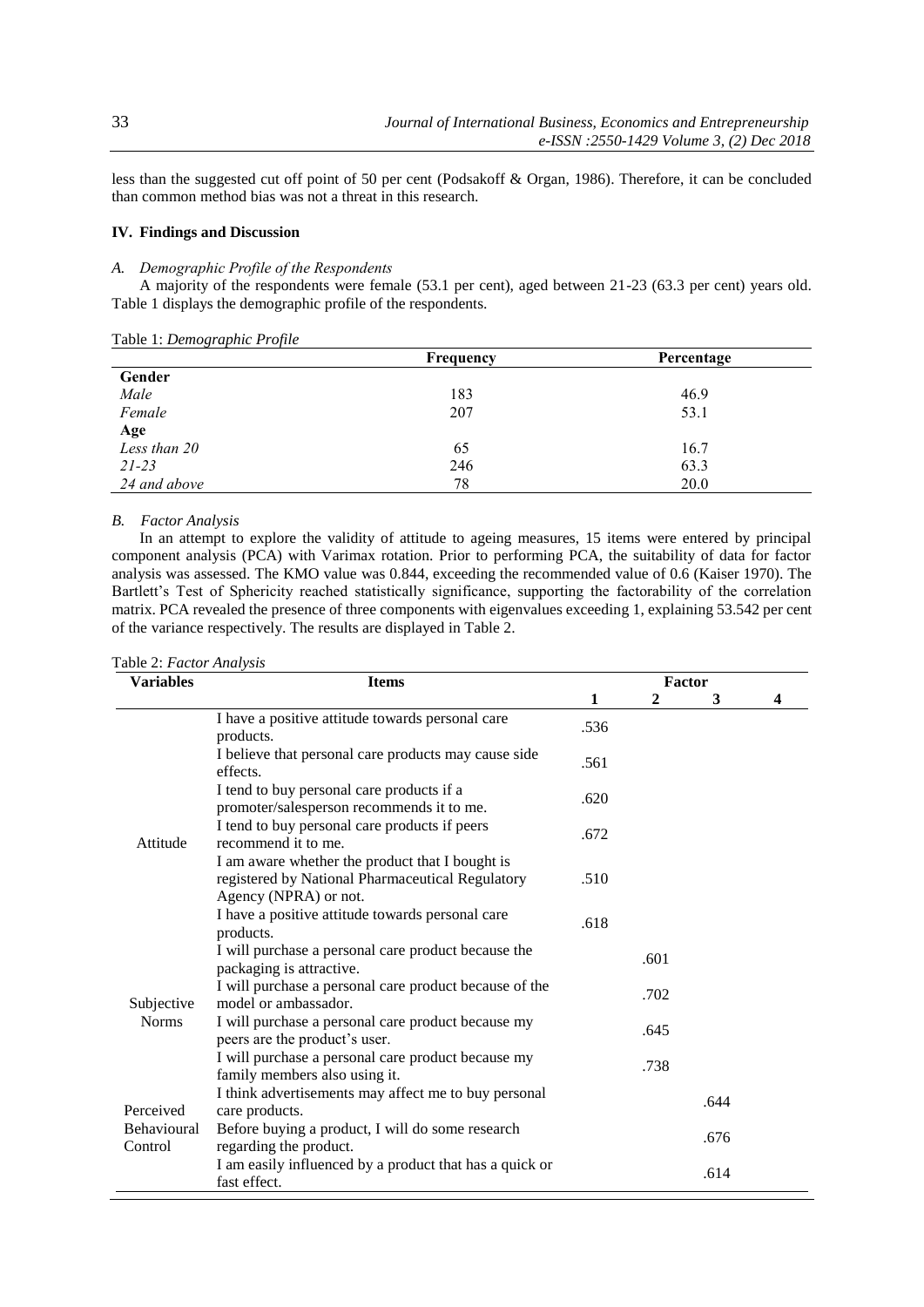less than the suggested cut off point of 50 per cent (Podsakoff & Organ, 1986). Therefore, it can be concluded than common method bias was not a threat in this research.

# **IV. Findings and Discussion**

#### *A. Demographic Profile of the Respondents*

A majority of the respondents were female (53.1 per cent), aged between 21-23 (63.3 per cent) years old. Table 1 displays the demographic profile of the respondents.

|              | Frequency | Percentage |
|--------------|-----------|------------|
| Gender       |           |            |
| Male         | 183       | 46.9       |
| Female       | 207       | 53.1       |
| Age          |           |            |
| Less than 20 | 65        | 16.7       |
| $21 - 23$    | 246       | 63.3       |
| 24 and above | 78        | 20.0       |

Table 1: *Demographic Profile*

# *B. Factor Analysis*

In an attempt to explore the validity of attitude to ageing measures, 15 items were entered by principal component analysis (PCA) with Varimax rotation. Prior to performing PCA, the suitability of data for factor analysis was assessed. The KMO value was 0.844, exceeding the recommended value of 0.6 (Kaiser 1970). The Bartlett's Test of Sphericity reached statistically significance, supporting the factorability of the correlation matrix. PCA revealed the presence of three components with eigenvalues exceeding 1, explaining 53.542 per cent of the variance respectively. The results are displayed in Table 2.

| <b>Variables</b>              | <b>Items</b>                                                                                                                 | Factor |                |      |   |
|-------------------------------|------------------------------------------------------------------------------------------------------------------------------|--------|----------------|------|---|
|                               |                                                                                                                              | 1      | $\overline{2}$ | 3    | 4 |
|                               | I have a positive attitude towards personal care<br>products.                                                                | .536   |                |      |   |
|                               | I believe that personal care products may cause side<br>effects.                                                             | .561   |                |      |   |
|                               | I tend to buy personal care products if a<br>promoter/salesperson recommends it to me.                                       | .620   |                |      |   |
| Attitude                      | I tend to buy personal care products if peers<br>recommend it to me.                                                         | .672   |                |      |   |
|                               | I am aware whether the product that I bought is<br>registered by National Pharmaceutical Regulatory<br>Agency (NPRA) or not. | .510   |                |      |   |
|                               | I have a positive attitude towards personal care<br>products.                                                                | .618   |                |      |   |
|                               | I will purchase a personal care product because the<br>packaging is attractive.                                              |        | .601           |      |   |
| Subjective<br><b>Norms</b>    | I will purchase a personal care product because of the<br>model or ambassador.                                               |        | .702           |      |   |
|                               | I will purchase a personal care product because my<br>peers are the product's user.                                          |        | .645           |      |   |
|                               | I will purchase a personal care product because my<br>family members also using it.                                          |        | .738           |      |   |
| Perceived                     | I think advertisements may affect me to buy personal<br>care products.                                                       |        |                | .644 |   |
| <b>Behavioural</b><br>Control | Before buying a product, I will do some research<br>regarding the product.                                                   |        |                | .676 |   |
|                               | I am easily influenced by a product that has a quick or<br>fast effect.                                                      |        |                | .614 |   |

Table 2: *Factor Analysis*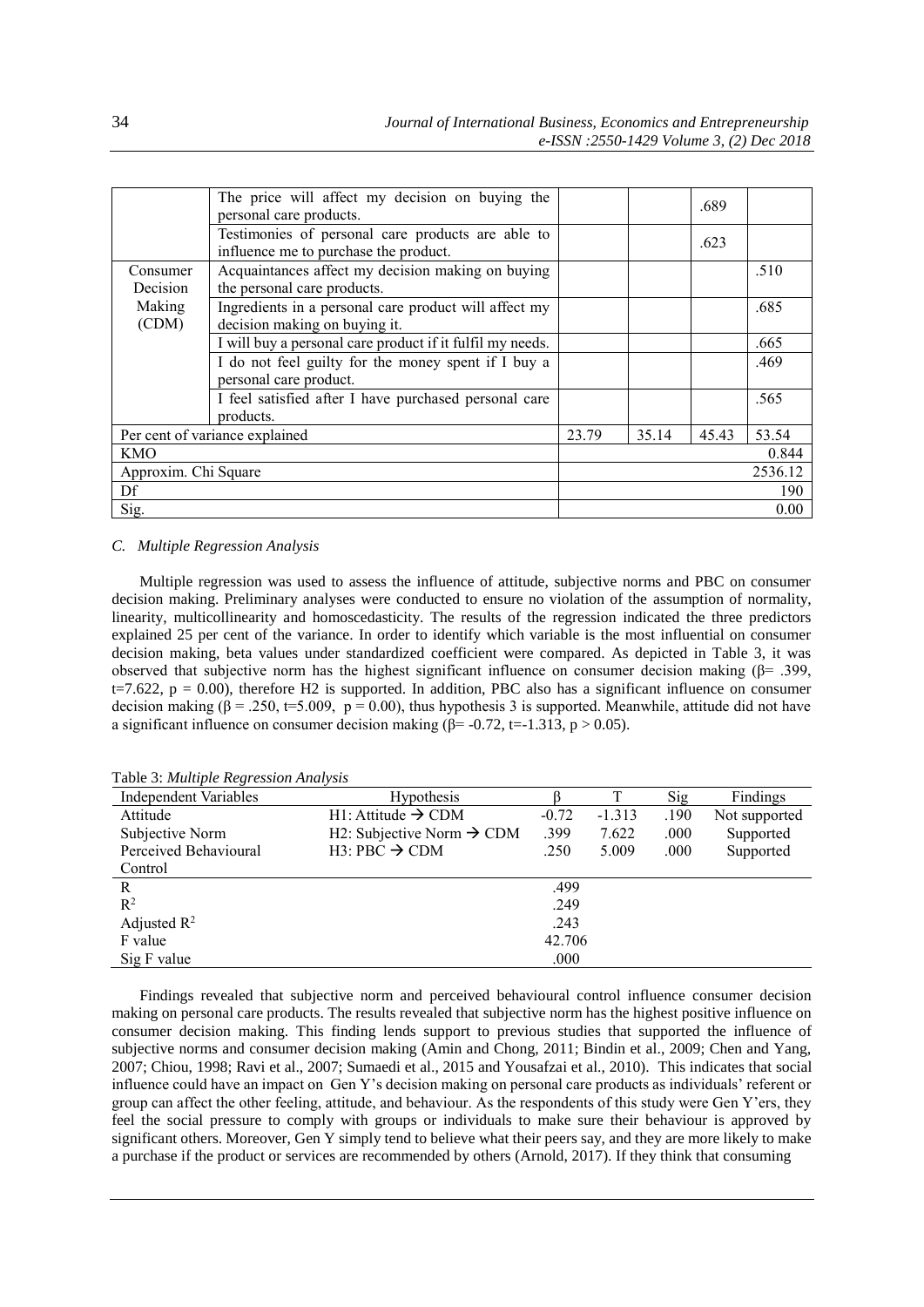|                                | The price will affect my decision on buying the<br>personal care products.                 |         |       | .689  |       |
|--------------------------------|--------------------------------------------------------------------------------------------|---------|-------|-------|-------|
|                                | Testimonies of personal care products are able to<br>influence me to purchase the product. |         |       | .623  |       |
| Consumer                       | Acquaintances affect my decision making on buying                                          |         |       |       | .510  |
| Decision                       | the personal care products.                                                                |         |       |       |       |
| Making                         | Ingredients in a personal care product will affect my                                      |         |       |       | .685  |
| (CDM)                          | decision making on buying it.                                                              |         |       |       |       |
|                                | I will buy a personal care product if it fulfil my needs.                                  |         |       |       | .665  |
|                                | I do not feel guilty for the money spent if I buy a                                        |         |       |       | .469  |
|                                | personal care product.                                                                     |         |       |       |       |
|                                | I feel satisfied after I have purchased personal care                                      |         |       |       | .565  |
|                                | products.                                                                                  |         |       |       |       |
| Per cent of variance explained |                                                                                            | 23.79   | 35.14 | 45.43 | 53.54 |
| <b>KMO</b>                     |                                                                                            |         |       |       | 0.844 |
| Approxim. Chi Square           |                                                                                            | 2536.12 |       |       |       |
| Df                             |                                                                                            |         |       |       | 190   |
| Sig.                           |                                                                                            |         |       |       | 0.00  |

# *C. Multiple Regression Analysis*

Multiple regression was used to assess the influence of attitude, subjective norms and PBC on consumer decision making. Preliminary analyses were conducted to ensure no violation of the assumption of normality, linearity, multicollinearity and homoscedasticity. The results of the regression indicated the three predictors explained 25 per cent of the variance. In order to identify which variable is the most influential on consumer decision making, beta values under standardized coefficient were compared. As depicted in Table 3, it was observed that subjective norm has the highest significant influence on consumer decision making ( $\beta$ = .399,  $t=7.622$ ,  $p = 0.00$ ), therefore H2 is supported. In addition, PBC also has a significant influence on consumer decision making ( $\beta$  = .250, t=5.009, p = 0.00), thus hypothesis 3 is supported. Meanwhile, attitude did not have a significant influence on consumer decision making ( $\beta$ = -0.72, t=-1.313, p > 0.05).

Table 3: *Multiple Regression Analysis*

| $\cdots$<br><b>Independent Variables</b> | <b>Hypothesis</b>                     |         |          | Sig  | Findings      |  |
|------------------------------------------|---------------------------------------|---------|----------|------|---------------|--|
| Attitude                                 | $H1$ : Attitude $\rightarrow$ CDM     | $-0.72$ | $-1.313$ | .190 | Not supported |  |
| Subjective Norm                          | H2: Subjective Norm $\rightarrow$ CDM | .399    | 7.622    | .000 | Supported     |  |
| Perceived Behavioural                    | $H3: PBC \rightarrow CDM$             | .250    | 5.009    | .000 | Supported     |  |
| Control                                  |                                       |         |          |      |               |  |
| R                                        |                                       | .499    |          |      |               |  |
| $R^2$                                    | .249                                  |         |          |      |               |  |
| Adjusted $R^2$                           | .243                                  |         |          |      |               |  |
| F value                                  | 42.706                                |         |          |      |               |  |
| Sig F value                              |                                       | .000    |          |      |               |  |

Findings revealed that subjective norm and perceived behavioural control influence consumer decision making on personal care products. The results revealed that subjective norm has the highest positive influence on consumer decision making. This finding lends support to previous studies that supported the influence of subjective norms and consumer decision making (Amin and Chong, 2011; Bindin et al., 2009; Chen and Yang, 2007; Chiou, 1998; Ravi et al., 2007; Sumaedi et al., 2015 and Yousafzai et al., 2010). This indicates that social influence could have an impact on Gen Y's decision making on personal care products as individuals' referent or group can affect the other feeling, attitude, and behaviour. As the respondents of this study were Gen Y'ers, they feel the social pressure to comply with groups or individuals to make sure their behaviour is approved by significant others. Moreover, Gen Y simply tend to believe what their peers say, and they are more likely to make a purchase if the product or services are recommended by others (Arnold, 2017). If they think that consuming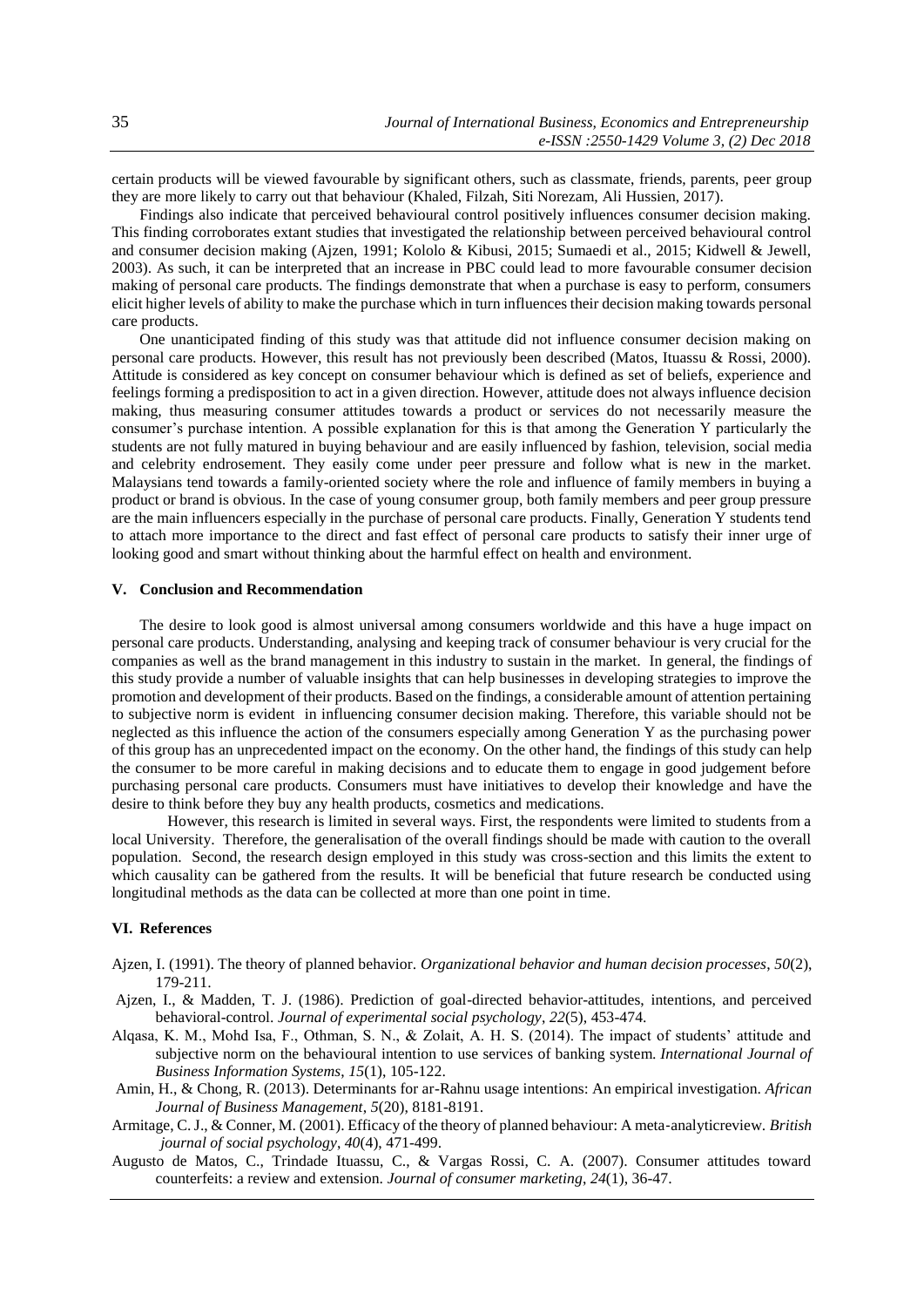certain products will be viewed favourable by significant others, such as classmate, friends, parents, peer group they are more likely to carry out that behaviour (Khaled, Filzah, Siti Norezam, Ali Hussien, 2017).

Findings also indicate that perceived behavioural control positively influences consumer decision making. This finding corroborates extant studies that investigated the relationship between perceived behavioural control and consumer decision making (Ajzen, 1991; Kololo & Kibusi, 2015; Sumaedi et al., 2015; Kidwell & Jewell, 2003). As such, it can be interpreted that an increase in PBC could lead to more favourable consumer decision making of personal care products. The findings demonstrate that when a purchase is easy to perform, consumers elicit higher levels of ability to make the purchase which in turn influences their decision making towards personal care products.

One unanticipated finding of this study was that attitude did not influence consumer decision making on personal care products. However, this result has not previously been described (Matos, Ituassu & Rossi, 2000). Attitude is considered as key concept on consumer behaviour which is defined as set of beliefs, experience and feelings forming a predisposition to act in a given direction. However, attitude does not always influence decision making, thus measuring consumer attitudes towards a product or services do not necessarily measure the consumer's purchase intention. A possible explanation for this is that among the Generation Y particularly the students are not fully matured in buying behaviour and are easily influenced by fashion, television, social media and celebrity endrosement. They easily come under peer pressure and follow what is new in the market. Malaysians tend towards a family-oriented society where the role and influence of family members in buying a product or brand is obvious. In the case of young consumer group, both family members and peer group pressure are the main influencers especially in the purchase of personal care products. Finally, Generation Y students tend to attach more importance to the direct and fast effect of personal care products to satisfy their inner urge of looking good and smart without thinking about the harmful effect on health and environment.

# **V. Conclusion and Recommendation**

The desire to look good is almost universal among consumers worldwide and this have a huge impact on personal care products. Understanding, analysing and keeping track of consumer behaviour is very crucial for the companies as well as the brand management in this industry to sustain in the market. In general, the findings of this study provide a number of valuable insights that can help businesses in developing strategies to improve the promotion and development of their products. Based on the findings, a considerable amount of attention pertaining to subjective norm is evident in influencing consumer decision making. Therefore, this variable should not be neglected as this influence the action of the consumers especially among Generation Y as the purchasing power of this group has an unprecedented impact on the economy. On the other hand, the findings of this study can help the consumer to be more careful in making decisions and to educate them to engage in good judgement before purchasing personal care products. Consumers must have initiatives to develop their knowledge and have the desire to think before they buy any health products, cosmetics and medications.

However, this research is limited in several ways. First, the respondents were limited to students from a local University. Therefore, the generalisation of the overall findings should be made with caution to the overall population. Second, the research design employed in this study was cross-section and this limits the extent to which causality can be gathered from the results. It will be beneficial that future research be conducted using longitudinal methods as the data can be collected at more than one point in time.

# **VI. References**

- Ajzen, I. (1991). The theory of planned behavior. *Organizational behavior and human decision processes*, *50*(2), 179-211.
- Ajzen, I., & Madden, T. J. (1986). Prediction of goal-directed behavior-attitudes, intentions, and perceived behavioral-control. *Journal of experimental social psychology*, *22*(5), 453-474.
- Alqasa, K. M., Mohd Isa, F., Othman, S. N., & Zolait, A. H. S. (2014). The impact of students' attitude and subjective norm on the behavioural intention to use services of banking system. *International Journal of Business Information Systems*, *15*(1), 105-122.
- Amin, H., & Chong, R. (2013). Determinants for ar-Rahnu usage intentions: An empirical investigation. *African Journal of Business Management*, *5*(20), 8181-8191.
- Armitage, C. J., & Conner, M. (2001). Efficacy of the theory of planned behaviour: A meta‐analyticreview. *British journal of social psychology*, *40*(4), 471-499.
- Augusto de Matos, C., Trindade Ituassu, C., & Vargas Rossi, C. A. (2007). Consumer attitudes toward counterfeits: a review and extension. *Journal of consumer marketing*, *24*(1), 36-47.